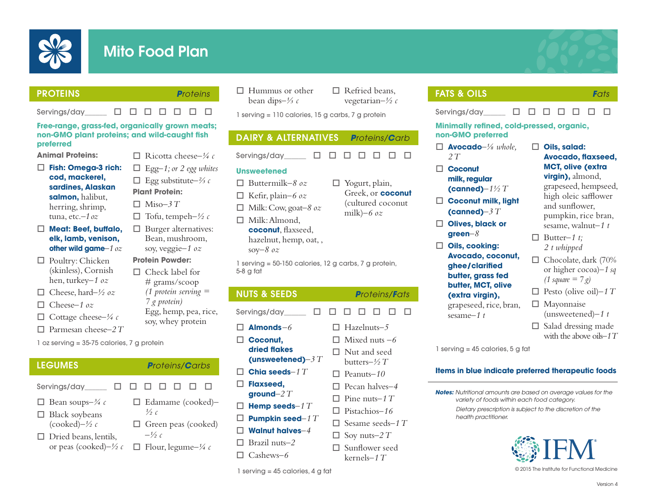

# Mito Food Plan

|--|

Servinas/day  $\Box$   $\Box$   $\Box$   $\Box$   $\Box$   $\Box$   $\Box$ 

PROTEINS *Proteins*

### **Free-range, grass-fed, organically grown meats; non-GMO plant proteins; and wild-caught fish preferred**

**Animal Proteins:**

- □ Fish: Omega-3 rich: **cod, mackerel, sardines, Alaskan salmon,** halibut, herring, shrimp, tuna, etc.*–1 oz*
- □ Meat: Beef, buffalo, **elk, lamb, venison, other wild game***–1 oz*
- $\Box$  Poultry: Chicken (skinless), Cornish hen, turkey*–1 oz*
- $\Box$  Cheese, hard–1/2 *oz*
- □ Cheese–1 oz
- $\Box$  Cottage cheese– $\frac{1}{4}c$
- $\Box$  Parmesan cheese–2 T
- 1 oz serving = 35-75 calories, 7 g protein
- LEGUMES *Proteins/Carbs*
- Servings/day  $\Box$   $\Box$   $\Box$   $\Box$   $\Box$   $\Box$   $\Box$
- □ Bean soups– $\frac{3}{4}$  c
- $\Box$  Black soybeans (cooked)*–½ c*
- $\Box$  Dried beans, lentils, or peas (cooked)*–½ c*
- $\Box$  Ricotta cheese–¼ c  $\Box$  Egg-1; or 2 egg whites
- o Egg substitute*–⅔ c*
- **Plant Protein:**  $\Box$  Miso-3 T
- $\Box$  Tofu, tempeh– $\frac{1}{2}c$
- $\Box$  Burger alternatives: Bean, mushroom, soy, veggie*–1 oz*
- **Protein Powder:**
- $\Box$  Check label for # grams/scoop *(1 protein serving = 7 g protein)* Egg, hemp, pea, rice, soy, whey protein

□ Edamame (cooked)–

 $\Box$  Green peas (cooked)

 $\Box$  Flour, legume– $\frac{1}{4}c$ 

*½ c*

 $-\frac{1}{2}c$ 

- $\Box$  Hummus or other bean dips*–⅓ c*
	- $\Box$  Refried beans, vegetarian*–½ c*

 $\Box$  Yogurt, plain,

milk)*–6 oz*

Greek, or **coconut** (cultured coconut

1 serving = 110 calories, 15 g carbs, 7 g protein

# DAIRY & ALTERNATIVES *Proteins/Carb*

Servings/day  $\Box$   $\Box$   $\Box$   $\Box$   $\Box$   $\Box$   $\Box$ 

### **Unsweetened**

- o Buttermilk*–8 oz*
- $\Box$  Kefir, plain–6 oz
- $\Box$  Milk: Cow, goat-8 *oz*
- $\Box$  Milk: Almond, **coconut**, flaxseed, hazelnut, hemp, oat, , soy*–8 oz*

1 serving = 50-150 calories, 12 g carbs, 7 g protein, 5-8 g fat

## NUTS & SEEDS *Proteins/Fats*

Servings/day  $\Box$   $\Box$   $\Box$   $\Box$   $\Box$   $\Box$   $\Box$  $\Box$  **Almonds**–6 □ Coconut. **dried flakes (unsweetened)***–3 T*  $\Box$  Chia seeds–1  $T$ □ Flaxseed. **ground***–2 T* o **Hemp seeds***–1 T* o **Pumpkin seed***–1 T* o **Walnut halves***–4* Brazil nuts-2 o Cashews*–6* o Hazelnuts*–5*  $\Box$  Mixed nuts  $-6$  $\square$  Nut and seed butters*–½ T* □ Peanuts-10  $\Box$  Pecan halves-4  $\Box$  Pine nuts–1 T □ Pistachios-16  $\square$  Sesame seeds–1 T  $\Box$  Soy nuts–2 T  $\square$  Sunflower seed kernels*–1 T*

# FATS & OILS *Fats*

Servings/day  $\Box$   $\Box$   $\Box$   $\Box$   $\Box$   $\Box$   $\Box$ 

**Minimally refined, cold-pressed, organic, non-GMO preferred** 

- o **Avocado***–⅛ whole, 2 T*
- □ Coconut **milk, regular (canned)***–1½ T*
- □ Coconut milk, light **(canned)***–3 T*
- □ Olives, black or **green***–8*
- □ Oils, cooking: **Avocado, coconut, ghee/clarified butter, grass fed butter, MCT, olive (extra virgin),**  grapeseed, rice, bran, sesame*–1 t*

### □ Oils, salad: **Avocado, flaxseed, MCT, olive (extra virgin),** almond, grapeseed, hempseed, high oleic safflower and sunflower, pumpkin, rice bran, sesame, walnut*–1 t*

- $\Box$  Butter-1 t; *2 t whipped*
- $\Box$  Chocolate, dark (70% or higher cocoa)–*1 sq (1 square = 7 g)*
- $\Box$  Pesto (olive oil)–1 T

 $\square$  Mayonnaise (unsweetened)*–1 t*

 $\Box$  Salad dressing made with the above oils*–1 T*

1 serving = 45 calories, 5 g fat

### **Items in blue indicate preferred therapeutic foods**

*Notes: Nutritional amounts are based on average values for the variety of foods within each food category.*

> *Dietary prescription is subject to the discretion of the health practitioner.*



1 serving = 45 calories, 4 g fat © 2015 The Institute for Functional Medicine